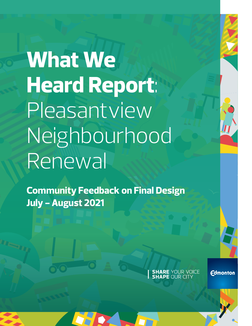**What We Heard Report**: Pleasantview Neighbourhood Renewal

**Community Feedback on Final Design July - August 2021**

**SHARE YOUR VOICE**<br>**SHAPE OUR CITY** 

**Edmonton**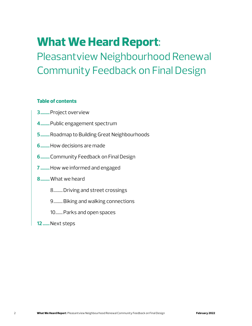## **What We Heard Report**:

## Pleasantview Neighbourhood Renewal Community Feedback on Final Design

## **Table of contents**

- **3........**Project overview
- **4........**Public engagement spectrum
- **5........**Roadmap to Building Great Neighbourhoods
- **6........**How decisions are made
- **6........**Community Feedback on Final Design
- **7 ........**How we informed and engaged
- **8........**What we heard
	- 8.........Driving and street crossings
	- 9.........Biking and walking connections
	- 10.......Parks and open spaces
- **12 ......**Next steps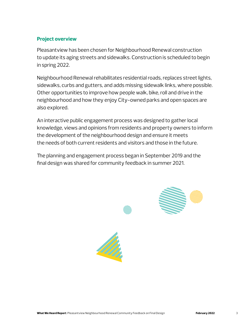## **Project overview**

Pleasantview has been chosen for Neighbourhood Renewal construction to update its aging streets and sidewalks. Construction is scheduled to begin in spring 2022.

Neighbourhood Renewal rehabilitates residential roads, replaces street lights, sidewalks, curbs and gutters, and adds missing sidewalk links, where possible. Other opportunities to improve how people walk, bike, roll and drive in the neighbourhood and how they enjoy City-owned parks and open spaces are also explored.

An interactive public engagement process was designed to gather local knowledge, views and opinions from residents and property owners to inform the development of the neighbourhood design and ensure it meets the needs of both current residents and visitors and those in the future.

The planning and engagement process began in September 2019 and the final design was shared for community feedback in summer 2021.



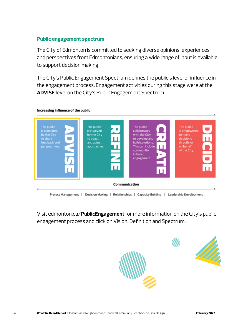## **Public engagement spectrum**

The City of Edmonton is committed to seeking diverse opinions, experiences and perspectives from Edmontonians, ensuring a wide range of input is available to support decision making.

The City's Public Engagement Spectrum defines the public's level of influence in the engagement process. Engagement activities during this stage were at the **ADVISE** level on the City's Public Engagement Spectrum.



# Visit edmonton.ca/**PublicEngagement** for more information on the City's public

engagement process and click on Vision, Definition and Spectrum.

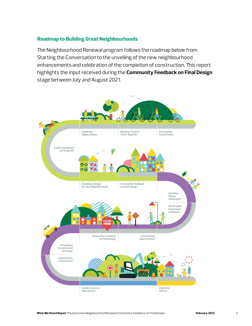## **Roadmap to Building Great Neighbourhoods**

The Neighbourhood Renewal program follows the roadmap below from Starting the Conversation to the unveiling of the new neighbourhood enhancements and celebration of the completion of construction. This report highlights the input received during the **Community Feedback on Final Design** stage between July and August 2021.

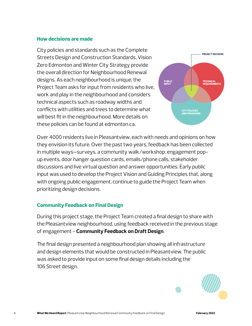### **How decisions are made**

City policies and standards such as the Complete Streets Design and Construction Standards, Vision Zero Edmonton and Winter City Strategy provide the overall direction for Neighbourhood Renewal designs. As each neighbourhood is unique, the Project Team asks for input from residents who live, work and play in the neighbourhood and considers technical aspects such as roadway widths and conflicts with utilities and trees to determine what will best fit in the neighbourhood. More details on these policies can be found at edmonton.ca.



Over 4000 residents live in Pleasantview, each with needs and opinions on how they envision its future. Over the past two years, feedback has been collected in multiple ways—surveys, a community walk/workshop, engagement popup events, door hanger question cards, emails/phone calls, stakeholder discussions and live virtual question and answer opportunities. Early public input was used to develop the Project Vision and Guiding Principles that, along with ongoing public engagement, continue to guide the Project Team when prioritizing design decisions.

## **Community Feedback on Final Design**

During this project stage, the Project Team created a final design to share with the Pleasantview neighbourhood, using feedback received in the previous stage of engagement - **Community Feedback on Draft Design**.

The final design presented a neighbourhood plan showing all infrastructure and design elements that would be constructed in Pleasantview. The public was asked to provide input on some final design details including the 106 Street design.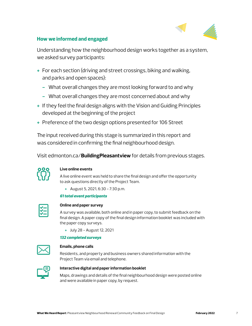

## **How we informed and engaged**

Understanding how the neighbourhood design works together as a system, we asked survey participants:

- **+** For each section (driving and street crossings, biking and walking, and parks and open spaces):
	- **-** What overall changes they are most looking forward to and why
	- **-** What overall changes they are most concerned about and why
- **+** If they feel the final design aligns with the Vision and Guiding Principles developed at the beginning of the project
- **+** Preference of the two design options presented for 106 Street

The input received during this stage is summarized in this report and was considered in confirming the final neighbourhood design.

Visit edmonton.ca/**BuildingPleasantview** for details from previous stages.



#### **Live online events**

A live online event was held to share the final design and offer the opportunity to ask questions directly of the Project Team.

**+** August 5, 2021, 6:30 - 7:30 p.m.

#### *61 total event participants*

#### **Online and paper survey**

A survey was available, both online and in paper copy, to submit feedback on the final design. A paper copy of the final design information booklet was included with the paper copy surveys.

**+** July 28 - August 12, 2021

#### *132 completed surveys*



#### **Emails, phone calls**

Residents, and property and business owners shared information with the Project Team via email and telephone.



#### **Interactive digital and paper information booklet**

Maps, drawings and details of the final neighbourhood design were posted online and were available in paper copy, by request.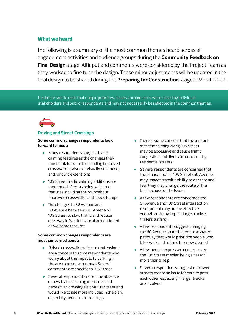### **What we heard**

The following is a summary of the most common themes heard across all engagement activities and audience groups during the **Community Feedback on Final Design** stage. All input and comments were considered by the Project Team as they worked to fine tune the design. These minor adjustments will be updated in the final design to be shared during the **Preparing for Construction** stage in March 2022.

It is important to note that unique priorities, issues and concerns were raised by individual stakeholders and public respondents and may not necessarily be reflected in the common themes.



#### **Driving and Street Crossings**

#### **Some common changes respondents look forward to most:**

- **+** Many respondents suggest traffic calming features as the changes they most look forward to including improved crosswalks (raised or visually enhanced) and/or curb extensions
- **+** 109 Street traffic calming additions are mentioned often as being welcome features including the roundabout, improved crosswalks and speed humps
- **+** The changes to 52 Avenue and 53 Avenue between 107 Street and 109 Street to slow traffic and reduce one-way infractions are also mentioned as welcome features

#### **Some common changes respondents are most concerned about:**

- **+** Raised crosswalks with curb extensions are a concern to some respondents who worry about the impacts to parking in the area and snow removal. Several comments are specific to 105 Street.
- **+** Several respondents noted the absence of new traffic calming measures and pedestrian crossings along 106 Street and would like to see more included in the plan, especially pedestrian crossings
- **+** There is some concern that the amount of traffic calming along 109 Street may be excessive and cause traffic congestion and diversion onto nearby residential streets
- **+** Several respondents are concerned that the roundabout at 109 Street/60 Avenue may impact transit's ability to operate and fear they may change the route of the bus because of the issues
- **+** A few respondents are concerned the 57 Avenue and 109 Street intersection realignment may not be effective enough and may impact large trucks/ trailers turning.
- **+** A few respondents suggest changing the 60 Avenue shared street to a shared pathway that would prioritize people who bike, walk and roll and be snow cleared
- **+** A few people expressed concern over the 108 Street median being a hazard more than a help
- **+** Several respondents suggest narrowed streets create an issue for cars to pass each other, especially if larger trucks are involved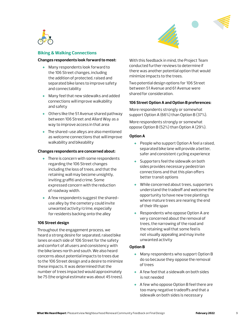



#### **Biking & Walking Connections**

#### **Changes respondents look forward to most:**

- **+** Many respondents look forward to the 106 Street changes, including the addition of protected, raised and separated bike lanes to improve safety and connectability
- **+** Many feel that new sidewalks and added connections will improve walkability and safety
- **+** Others like the 51 Avenue shared pathway between 106 Street and Allard Way as a way to improve access in that area
- **+** The shared-use alleys are also mentioned as welcome connections that will improve walkability and bikeability

#### **Changes respondents are concerned about:**

- **+** There is concern with some respondents regarding the 106 Street changes including the loss of trees, and that the retaining wall may become unsightly, inviting graffiti and crime. Some expressed concern with the reduction of roadway width.
- **+** A few respondents suggest the shareduse alley by the cemetery could invite unwanted activity/crime, especially for residents backing onto the alley

#### **106 Street design**

Throughout the engagement process, we heard a strong desire for separated, raised bike lanes on each side of 106 Street for the safety and comfort of all users and consistency with the bike lanes north and south. We also heard concerns about potential impacts to trees due to the 106 Street design and a desire to minimize these impacts. It was determined that the number of trees impacted would approximately be 75 (the original estimate was about 45 trees).

With this feedback in mind, the Project Team conducted further reviews to determine if there was another potential option that would minimize impacts to the trees.

Two potential design options for 106 Street between 51 Avenue and 61 Avenue were shared for consideration. *September 2018*

#### **106 Street Option A and Option B preferences:**

More respondents strongly or somewhat support Option A (66%) than Option B (37%).

More respondents strongly or somewhat oppose Option B (52%) than Option A (29%).

#### **Option A**

- **+** People who support Option A feel a raised, separated bike lane will provide a better, safer and consistent cycling experience
- **+** Supporters feel the sidewalk on both sides provides necessary pedestrian connections and that this plan offers better transit options
- **+** While concerned about trees, supporters understand the tradeoff and welcome the opportunity to have new tree plantings where mature trees are nearing the end of their life span
- **+** Respondents who oppose Option A are very concerned about the removal of trees, the narrowing of the road and the retaining wall that some feel is not visually appealing and may invite unwanted activity

#### **Option B**

- **+** Many respondents who support Option B do so because they oppose the removal of trees
- **+** A few feel that a sidewalk on both sides is not needed
- **+** A few who oppose Option B feel there are too many negative tradeoffs and that a sidewalk on both sides is necessary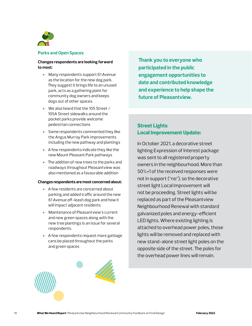

#### **Parks and Open Spaces**

#### **Changes respondents are looking forward to most:**

- **+** Many respondents support 61 Avenue as the location for the new dog park. They suggest it brings life to an unused park, acts as a gathering point for community dog owners and keeps dogs out of other spaces.
- **+** We also heard that the 105 Street / 105A Street sidewalks around the pocket parks provide welcome pedestrian connections
- **+** Some respondents commented they like the Angus Murray Park improvements including the new pathway and plantings
- **+** A few respondents indicate they like the new Mount Pleasant Park pathways
- **+** The addition of new trees to the parks and roadways throughout Pleasantview was also mentioned as a favourable addition

#### **Changes respondents are most concerned about:**

- **+** A few residents are concerned about parking and added traffic around the new 61 Avenue off-leash dog park and how it will impact adjacent residents
- **+** Maintenance of Pleasantview's current and new green spaces along with the new tree plantings is an issue for several respondents.
- **+** A few respondents request more garbage cans be placed throughout the parks and green spaces

**Thank you to everyone who participated in the public engagement opportunities to date and contributed knowledge and experience to help shape the future of Pleasantview.**

## **Street Lights Local Improvement Update:**

In October 2021, a decorative street lighting Expression of Interest package was sent to all registered property owners in the neighbourhood. More than 50%+1 of the received responses were not in support ("no"), so the decorative street light Local Improvement will not be proceeding. Street lights will be replaced as part of the Pleasantview Neighbourhood Renewal with standard galvanized poles and energy-efficient LED lights. Where existing lighting is attached to overhead power poles, those lights will be removed and replaced with new stand-alone street light poles on the opposite side of the street. The poles for the overhead power lines will remain.

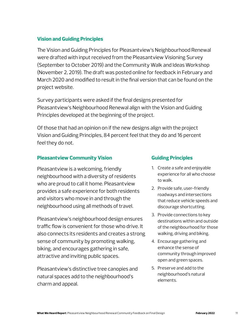## **Vision and Guiding Principles**

The Vision and Guiding Principles for Pleasantview's Neighbourhood Renewal were drafted with input received from the Pleasantview Visioning Survey (September to October 2019) and the Community Walk and Ideas Workshop (November 2, 2019). The draft was posted online for feedback in February and March 2020 and modified to result in the final version that can be found on the project website.

Survey participants were asked if the final designs presented for Pleasantview's Neighbourhood Renewal align with the Vision and Guiding Principles developed at the beginning of the project.

Of those that had an opinion on if the new designs align with the project Vision and Guiding Principles, 84 percent feel that they do and 16 percent feel they do not.

## **Pleasantview Community Vision**

Pleasantview is a welcoming, friendly neighbourhood with a diversity of residents who are proud to call it home. Pleasantview provides a safe experience for both residents and visitors who move in and through the neighbourhood using all methods of travel.

Pleasantview's neighbourhood design ensures traffic flow is convenient for those who drive. It also connects its residents and creates a strong sense of community by promoting walking, biking, and encourages gathering in safe, attractive and inviting public spaces.

Pleasantview's distinctive tree canopies and natural spaces add to the neighbourhood's charm and appeal.

## **Guiding Principles**

- 1. Create a safe and enjoyable experience for all who choose to walk.
- 2. Provide safe, user-friendly roadways and intersections that reduce vehicle speeds and discourage shortcutting.
- 3. Provide connections to key destinations within and outside of the neighbourhood for those walking, driving and biking.
- 4. Encourage gathering and enhance the sense of community through improved open and green spaces.
- 5. Preserve and add to the neighbourhood's natural elements.